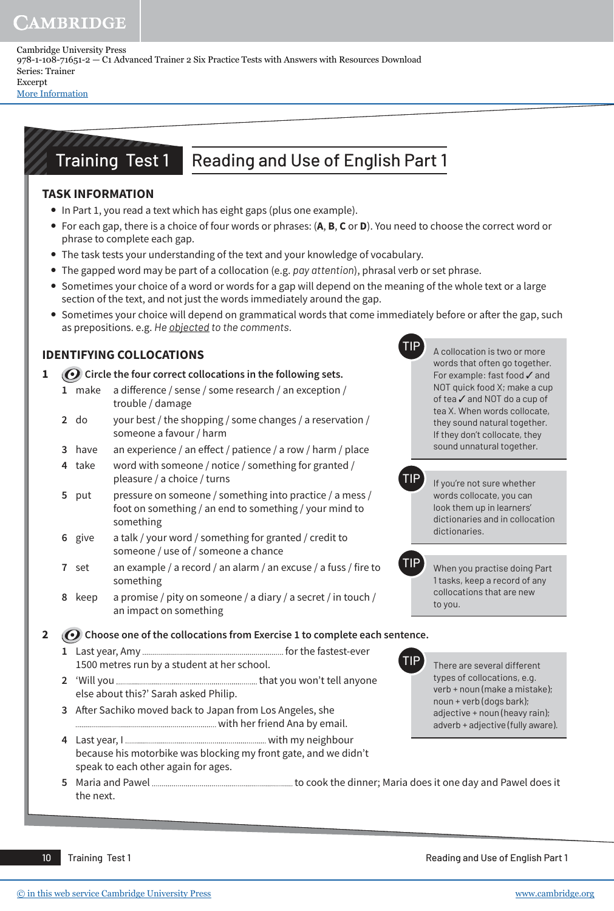Cambridge University Press 978-1-108-71651-2 — C1 Advanced Trainer 2 Six Practice Tests with Answers with Resources Download Series: Trainer Excerpt [More Information](www.cambridge.org/9781108716512)

# Training Test 1 Reading and Use of English Part 1

### **task information**

- In Part 1, you read a text which has eight gaps (plus one example).
- y For each gap, there is a choice of four words or phrases: (**a**, **B**, **c** or **d**). You need to choose the correct word or phrase to complete each gap.
- The task tests your understanding of the text and your knowledge of vocabulary.
- y The gapped word may be part of a collocation (e.g. *pay attention*), phrasal verb or set phrase.
- Sometimes your choice of a word or words for a gap will depend on the meaning of the whole text or a large section of the text, and not just the words immediately around the gap.
- Sometimes your choice will depend on grammatical words that come immediately before or after the gap, such as prepositions. e.g. *He objected to the comments.*

## **identifYing coLLocations**

**1** *O* Circle the four correct collocations in the following sets.

- **1** make a difference / sense / some research / an exception / trouble / damage
- **2** do your best / the shopping / some changes / a reservation / someone a favour / harm
- **3** have an experience / an effect / patience / a row / harm / place
- **4** take word with someone / notice / something for granted / pleasure / a choice / turns
- **5** put pressure on someone / something into practice / a mess / foot on something / an end to something / your mind to something
- **6** give a talk / your word / something for granted / credit to someone / use of / someone a chance
- **7** set an example / a record / an alarm / an excuse / a fuss / fire to something
- **8** keep a promise / pity on someone / a diary / a secret / in touch / an impact on something

2 **C** Choose one of the collocations from Exercise 1 to complete each sentence.

- **1** Last year, Amy for the fastest-ever 1500 metres run by a student at her school.
- **2** 'Will you that you won't tell anyone else about this?' Sarah asked Philip.
- **3** After Sachiko moved back to Japan from Los Angeles, she with her friend Ana by email.
- **4** Last year, I with my neighbour because his motorbike was blocking my front gate, and we didn't speak to each other again for ages.

**TIP** There are several different types of collocations, e.g. verb + noun (make a mistake); noun + verb (dogs bark); adjective + noun (heavy rain); adverb + adjective (fully aware).

A collocation is two or more words that often go together. For example: fast food ✓ and NOT quick food X; make a cup of tea ✓ and NOT do a cup of tea X. When words collocate, they sound natural together. If they don't collocate, they sound unnatural together.

TIP If you're not sure whether

dictionaries.

to you.

words collocate, you can look them up in learners' dictionaries and in collocation

TIP When you practise doing Part 1 tasks, keep a record of any collocations that are new

**5** Maria and Pawel to cook the dinner; Maria does it one day and Pawel does it the next.

10 Training Test 1 Reading and Use of English Part 1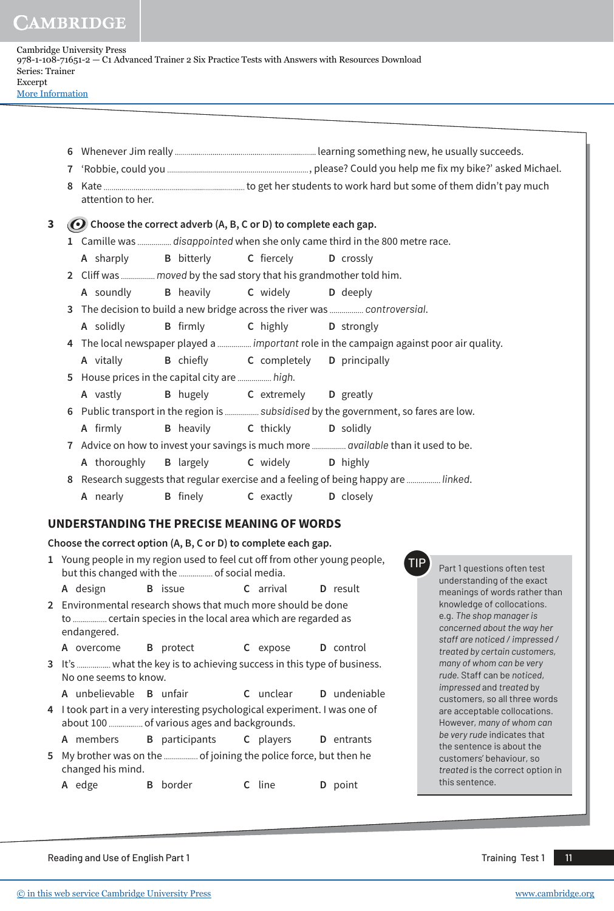| Cambridge University Press                                                                        |
|---------------------------------------------------------------------------------------------------|
| 978-1-108-71651-2 — C1 Advanced Trainer 2 Six Practice Tests with Answers with Resources Download |
| Series: Trainer                                                                                   |
| Excerpt                                                                                           |
| More Information                                                                                  |

|   | $\mathbf{7}$<br>8 | attention to her. |                                                                                                                             |                                     |                                                                                          |                                                                                       |
|---|-------------------|-------------------|-----------------------------------------------------------------------------------------------------------------------------|-------------------------------------|------------------------------------------------------------------------------------------|---------------------------------------------------------------------------------------|
| 3 |                   |                   | ( $\odot$ ) Choose the correct adverb (A, B, C or D) to complete each gap.                                                  |                                     |                                                                                          |                                                                                       |
|   |                   |                   |                                                                                                                             |                                     | 1 Camille was  disappointed when she only came third in the 800 metre race.              |                                                                                       |
|   |                   | A sharply         | <b>B</b> bitterly                                                                                                           | C fiercely                          | D crossly                                                                                |                                                                                       |
|   |                   |                   |                                                                                                                             |                                     | 2 Cliff was  moved by the sad story that his grandmother told him.                       |                                                                                       |
|   |                   | A soundly         | <b>B</b> heavily                                                                                                            | C widely                            | D deeply                                                                                 |                                                                                       |
|   |                   |                   |                                                                                                                             |                                     | 3 The decision to build a new bridge across the river was  controversial.                |                                                                                       |
|   |                   | A solidly         | <b>B</b> firmly                                                                                                             | C highly                            | D strongly                                                                               |                                                                                       |
|   |                   |                   |                                                                                                                             |                                     | 4 The local newspaper played a  important role in the campaign against poor air quality. |                                                                                       |
|   |                   | A vitally         | <b>B</b> chiefly <b>C</b> completely                                                                                        |                                     | D principally                                                                            |                                                                                       |
|   |                   |                   | 5 House prices in the capital city are  high.                                                                               |                                     |                                                                                          |                                                                                       |
|   |                   | A vastly          | <b>B</b> hugely                                                                                                             | <b>C</b> extremely <b>D</b> greatly |                                                                                          |                                                                                       |
|   |                   |                   |                                                                                                                             |                                     | 6 Public transport in the region is  subsidised by the government, so fares are low.     |                                                                                       |
|   |                   | A firmly          | <b>B</b> heavily                                                                                                            | C thickly                           | D solidly                                                                                |                                                                                       |
|   |                   |                   |                                                                                                                             |                                     | 7 Advice on how to invest your savings is much more  available than it used to be.       |                                                                                       |
|   |                   | A thoroughly      | <b>B</b> largely                                                                                                            | C widely                            | D highly                                                                                 |                                                                                       |
|   |                   |                   |                                                                                                                             |                                     | 8 Research suggests that regular exercise and a feeling of being happy are  linked.      |                                                                                       |
|   |                   | A nearly          | <b>B</b> finely                                                                                                             | C exactly                           | D closely                                                                                |                                                                                       |
|   |                   |                   |                                                                                                                             |                                     |                                                                                          |                                                                                       |
|   |                   |                   | UNDERSTANDING THE PRECISE MEANING OF WORDS                                                                                  |                                     |                                                                                          |                                                                                       |
|   |                   |                   | Choose the correct option (A, B, C or D) to complete each gap.                                                              |                                     |                                                                                          |                                                                                       |
|   |                   |                   | 1 Young people in my region used to feel cut off from other young people,<br>but this changed with the  of social media.    |                                     | <b>TIP</b>                                                                               | Part 1 questions often test<br>understanding of the exact                             |
|   |                   | A design          | <b>B</b> issue                                                                                                              | C arrival                           | D result                                                                                 | meanings of words rather than                                                         |
|   |                   | endangered.       | 2 Environmental research shows that much more should be done<br>to  certain species in the local area which are regarded as |                                     |                                                                                          | knowledge of collocations.<br>e.g. The shop manager is<br>concerned about the way her |

**A** overcome **B** protect **C** expose **D** control

- **3** It's ................. what the key is to achieving success in this type of business. No one seems to know.
	- **A** unbelievable **B** unfair **C** unclear **D** undeniable
- **4** I took part in a very interesting psychological experiment. I was one of about 100 ................. of various ages and backgrounds.
- **A** members **B** participants **C** players **D** entrants
- **5** My brother was on the ................. of joining the police force, but then he changed his mind.

**A** edge **B** border **C** line **D** point

*staff are noticed / impressed / treated by certain customers, many of whom can be very rude.* Staff can be *noticed*, *impressed* and *treated* by customers, so all three words are acceptable collocations. However, *many of whom can be very rude* indicates that the sentence is about the customers' behaviour*,* so *treated* is the correct option in this sentence.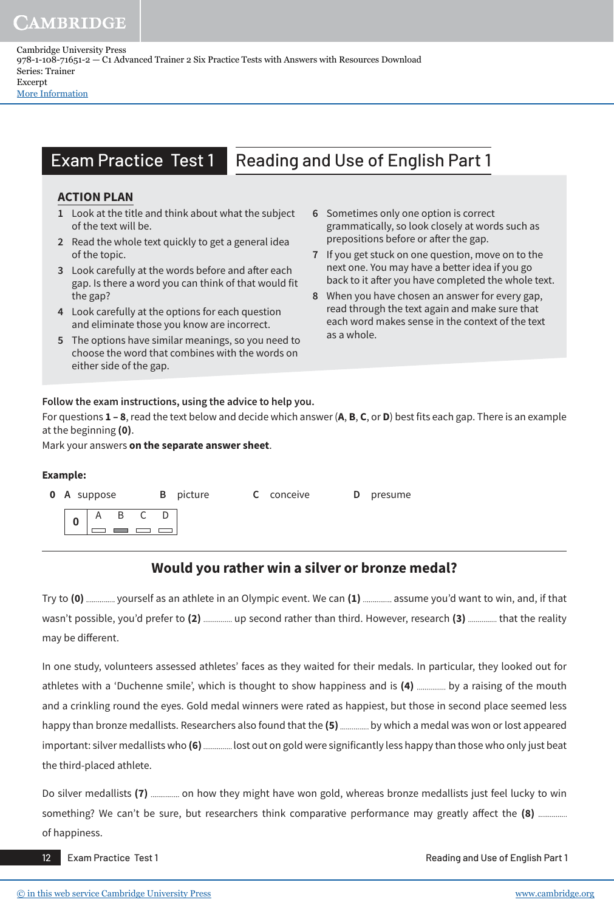Cambridge University Press 978-1-108-71651-2 — C1 Advanced Trainer 2 Six Practice Tests with Answers with Resources Download Series: Trainer Excerpt [More Information](www.cambridge.org/9781108716512)

# Exam Practice Test 1 Reading and Use of English Part 1

### **action pLan**

- **1** Look at the title and think about what the subject of the text will be.
- **2** Read the whole text quickly to get a general idea of the topic.
- **3** Look carefully at the words before and after each gap. Is there a word you can think of that would fit the gap?
- **4** Look carefully at the options for each question and eliminate those you know are incorrect.
- **5** The options have similar meanings, so you need to choose the word that combines with the words on either side of the gap.
- **6** Sometimes only one option is correct grammatically, so look closely at words such as prepositions before or after the gap.
- **7** If you get stuck on one question, move on to the next one. You may have a better idea if you go back to it after you have completed the whole text.
- **8** When you have chosen an answer for every gap, read through the text again and make sure that each word makes sense in the context of the text as a whole.

#### **Follow the exam instructions, using the advice to help you.**

For questions **1 – 8**, read the text below and decide which answer (**a**, **B**, **c**, or **d**) best fits each gap. There is an example at the beginning **(0)**.

Mark your answers **on the separate answer sheet**.

#### **example:**

| <b>0</b> A suppose |  |  | <b>B</b> picture | <b>C</b> conceive | <b>D</b> presume |
|--------------------|--|--|------------------|-------------------|------------------|
|                    |  |  |                  |                   |                  |

## **would you rather win a silver or bronze medal?**

Try to (0) ............... yourself as an athlete in an Olympic event. We can (1) ................ assume you'd want to win, and, if that wasn't possible, you'd prefer to (2) ............... up second rather than third. However, research (3) .............. that the reality may be different.

In one study, volunteers assessed athletes' faces as they waited for their medals. In particular, they looked out for athletes with a 'Duchenne smile', which is thought to show happiness and is (4) .............. by a raising of the mouth and a crinkling round the eyes. Gold medal winners were rated as happiest, but those in second place seemed less happy than bronze medallists. Researchers also found that the (5) ............... by which a medal was won or lost appeared important: silver medallists who (6) ............... lost out on gold were significantly less happy than those who only just beat the third-placed athlete.

Do silver medallists (7) ............... on how they might have won gold, whereas bronze medallists just feel lucky to win something? We can't be sure, but researchers think comparative performance may greatly affect the **(8)** of happiness.

12 Exam Practice Test 1 Reading and Use of English Part 1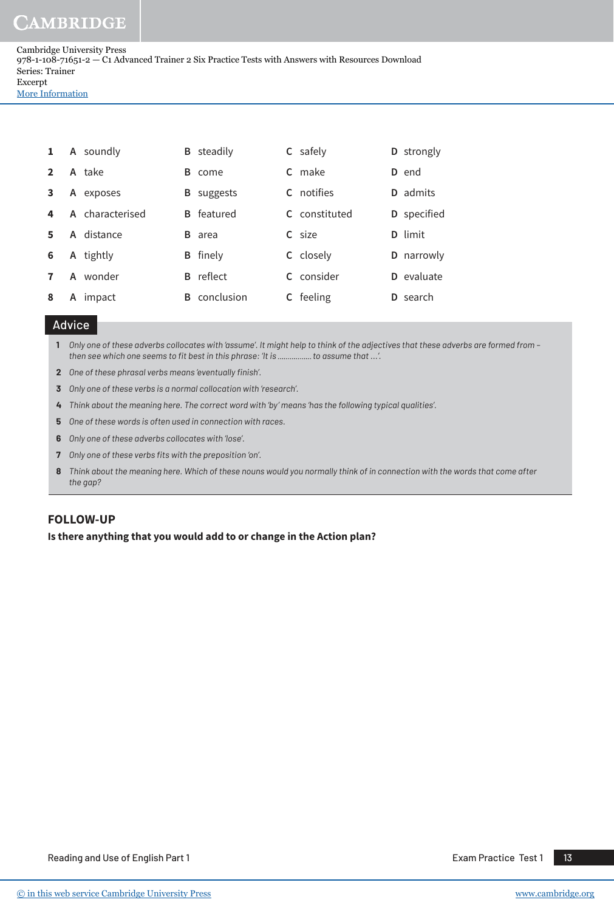Cambridge University Press 978-1-108-71651-2 — C1 Advanced Trainer 2 Six Practice Tests with Answers with Resources Download Series: Trainer Excerpt [More Information](www.cambridge.org/9781108716512)

 **A** soundly **B** steadily **C** safely **D** strongly **A** take **B** come **C** make **D** end **A** exposes **B** suggests **C** notifies **D** admits **A** characterised **B** featured **C** constituted **D** specified **A** distance **B** area **C** size **D** limit **A** tightly **B** finely **C** closely **D** narrowly **A** wonder **B** reflect **C** consider **D** evaluate **A** impact **B** conclusion **C** feeling **D** search

### Advice

**1** *Only one of these adverbs collocates with 'assume'. It might help to think of the adjectives that these adverbs are formed from –*  then see which one seems to fit best in this phrase: 'It is ................. to assume that ...'.

- **2** *One of these phrasal verbs means 'eventually finish'.*
- **3** *Only one of these verbs is a normal collocation with 'research'.*
- **4** *Think about the meaning here. The correct word with 'by' means 'has the following typical qualities'.*
- **5** *One of these words is often used in connection with races.*
- **6** *Only one of these adverbs collocates with 'lose'.*
- **7** *Only one of these verbs fits with the preposition 'on'.*
- **8** *Think about the meaning here. Which of these nouns would you normally think of in connection with the words that come after the gap?*

#### **foLLow-Up**

**is there anything that you would add to or change in the action plan?**

Reading and Use of English Part 1 According the USE 10 According to the Exam Practice Test 1 14 13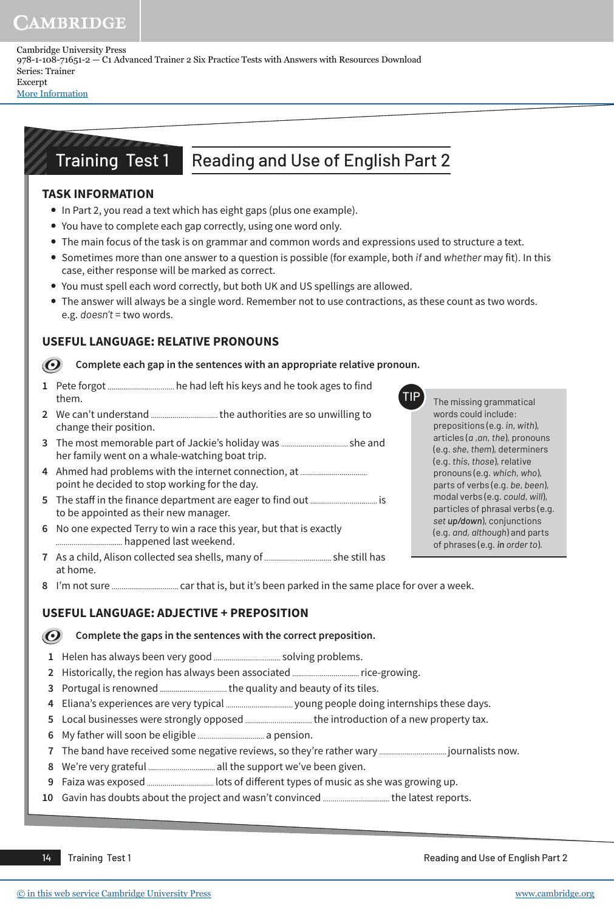Cambridge University Press 978-1-108-71651-2 — C1 Advanced Trainer 2 Six Practice Tests with Answers with Resources Download Series: Trainer Excerpt [More Information](www.cambridge.org/9781108716512)

Training Test 1 Reading and Use of English Part 2

### **task information**

- In Part 2, you read a text which has eight gaps (plus one example).
- You have to complete each gap correctly, using one word only.
- The main focus of the task is on grammar and common words and expressions used to structure a text.
- y Sometimes more than one answer to a question is possible (for example, both *if* and *whether* may fit). In this case, either response will be marked as correct.
- You must spell each word correctly, but both UK and US spellings are allowed.
- The answer will always be a single word. Remember not to use contractions, as these count as two words. e.g. *doesn't* = two words.

### **UsefUL LangUage: reLatiVe pronoUns**

**Complete each gap in the sentences with an appropriate relative pronoun.**   $\mathbf{\odot}$ 

- **1** Pete forgot he had left his keys and he took ages to find them.
- **2** We can't understand the authorities are so unwilling to change their position.
- **3** The most memorable part of Jackie's holiday was she and her family went on a whale-watching boat trip.
- **4** Ahmed had problems with the internet connection, at point he decided to stop working for the day.
- **5** The staff in the finance department are eager to find out is to be appointed as their new manager.
- **6** No one expected Terry to win a race this year, but that is exactly happened last weekend.
- **7** As a child, Alison collected sea shells, many of she still has at home.
- **8** I'm not sure car that is, but it's been parked in the same place for over a week.

### **UsefUL LangUage: adjectiVe + preposition**

 $\boldsymbol{O}$ **Complete the gaps in the sentences with the correct preposition.** 

- **1** Helen has always been very good solving problems.
- **2** Historically, the region has always been associated rice-growing.
- **3** Portugal is renowned the quality and beauty of its tiles.
- **4** Eliana's experiences are very typical young people doing internships these days.
- **5** Local businesses were strongly opposed ...................................the introduction of a new property tax.
- **6** My father will soon be eligible a pension.
- **7** The band have received some negative reviews, so they're rather wary journalists now.
- **8** We're very grateful all the support we've been given.
- **9** Faiza was exposed lots of diff erent types of music as she was growing up.
- **10** Gavin has doubts about the project and wasn't convinced .................................. the latest reports.

14 Training Test 1 Reading and Use of English Part 2

The missing grammatical words could include: prepositions (e.g. *in*, *with*), articles (*a* ,*an*, *the*), pronouns (e.g. *she*, *them*), determiners (e.g. *this*, *those*), relative pronouns (e.g. *which*, *who*), parts of verbs (e.g. *be*, *been*), modal verbs (e.g. *could*, *will*), particles of phrasal verbs (e.g. *set up/down*), conjunctions (e.g. *and, although*) and parts of phrases (e.g. *in order to*)*.*

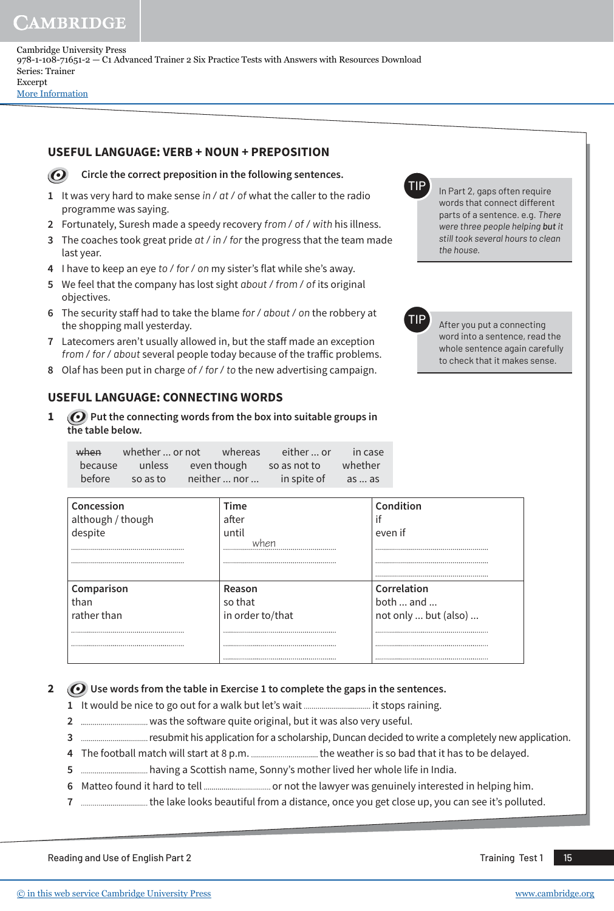Cambridge University Press 978-1-108-71651-2 — C1 Advanced Trainer 2 Six Practice Tests with Answers with Resources Download Series: Trainer Excerpt [More Information](www.cambridge.org/9781108716512)

### **UsefUL LangUage: VerB + noUn + preposition**

 $\odot$ 

#### **Circle the correct preposition in the following sentences.**

- **1** It was very hard to make sense *in / at / of* what the caller to the radio programme was saying.
- **2** Fortunately, Suresh made a speedy recovery *from / of / with* his illness.
- **3** The coaches took great pride *at / in / for* the progress that the team made last year.
- **4** I have to keep an eye *to / for / on* my sister's flat while she's away.
- **5** We feel that the company has lost sight *about / from / of* its original objectives.
- **6** The security staff had to take the blame *for / about / on* the robbery at the shopping mall yesterday.
- **7** Latecomers aren't usually allowed in, but the staff made an exception *from / for / about* several people today because of the traffic problems.
- **8** Olaf has been put in charge *of / for / to* the new advertising campaign.

### **UsefUL LangUage: connecting words**

**1** *O* Put the connecting words from the box into suitable groups in **the table below.** 

| when    | whether  or not    | whereas      | either  or   | $\blacksquare$ in case |
|---------|--------------------|--------------|--------------|------------------------|
| because | unless even though |              | so as not to | whether                |
| before  | so as to           | neither  nor | in spite of  | as  as                 |

| Concession        | <b>Time</b>      | Condition                |
|-------------------|------------------|--------------------------|
| although / though | after            | if                       |
| despite           | until            | even if                  |
|                   |                  |                          |
|                   |                  |                          |
|                   |                  |                          |
| Comparison        | Reason           | Correlation              |
| than              | so that          | both $\dots$ and $\dots$ |
| rather than       | in order to/that | not only  but (also)     |
|                   |                  |                          |
|                   |                  |                          |
|                   |                  |                          |

### **2** *O* Use words from the table in Exercise 1 to complete the gaps in the sentences.

- **1** It would be nice to go out for a walk but let's wait it stops raining.
- **2** was the software quite original, but it was also very useful.
- **3** *manumanamananas* resubmit his application for a scholarship, Duncan decided to write a completely new application.
- **4** The football match will start at 8 p.m. the weather is so bad that it has to be delayed.
- **5** having a Scottish name, Sonny's mother lived her whole life in India.
- **6** Matteo found it hard to tell or not the lawyer was genuinely interested in helping him.
- **7** the lake looks beautiful from a distance, once you get close up, you can see it's polluted.

Reading and Use of English Part 2 Training Test 1 **15** Training Test 1 **15** Training Test 1 **15** 

In Part 2, gaps often require words that connect different parts of a sentence. e.g. *There were three people helping but it still took several hours to clean* 

After you put a connecting word into a sentence, read the whole sentence again carefully to check that it makes sense.

*the house.*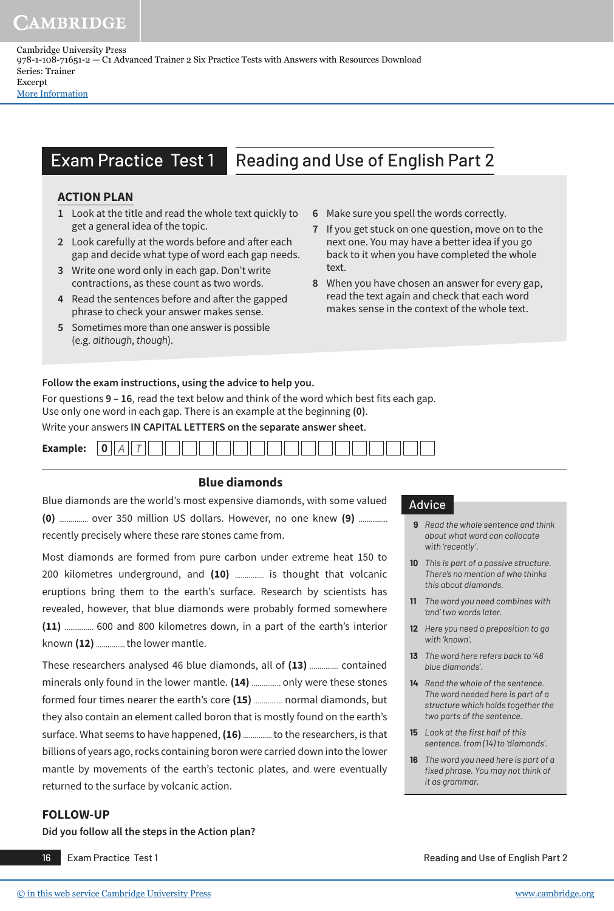Cambridge University Press 978-1-108-71651-2 — C1 Advanced Trainer 2 Six Practice Tests with Answers with Resources Download Series: Trainer Excerpt [More Information](www.cambridge.org/9781108716512)

# Exam Practice Test 1 Reading and Use of English Part 2

### **action pLan**

- **1** Look at the title and read the whole text quickly to get a general idea of the topic.
- **2** Look carefully at the words before and after each gap and decide what type of word each gap needs.
- **3** Write one word only in each gap. Don't write contractions, as these count as two words.
- **4** Read the sentences before and after the gapped phrase to check your answer makes sense.
- **5** Sometimes more than one answer is possible (e.g. *although*, *though*).
- **6** Make sure you spell the words correctly.
- **7** If you get stuck on one question, move on to the next one. You may have a better idea if you go back to it when you have completed the whole text.
- **8** When you have chosen an answer for every gap, read the text again and check that each word makes sense in the context of the whole text.

#### **Follow the exam instructions, using the advice to help you.**

For questions **9 – 16**, read the text below and think of the word which best fits each gap. Use only one word in each gap. There is an example at the beginning **(0)**.

Write your answers **IN CAPITAL LeTTeRS on the separate answer sheet**.

| <b>Example:</b> | $\sim$ | ↵ | _ |  |  |  |  |  |  |  |  |  |
|-----------------|--------|---|---|--|--|--|--|--|--|--|--|--|
|                 |        |   |   |  |  |  |  |  |  |  |  |  |

### **Blue diamonds**

Blue diamonds are the world's most expensive diamonds, with some valued **(0)** .............. over 350 million US dollars. However, no one knew (9) .............. recently precisely where these rare stones came from.

Most diamonds are formed from pure carbon under extreme heat 150 to 200 kilometres underground, and (10) ............... is thought that volcanic eruptions bring them to the earth's surface. Research by scientists has revealed, however, that blue diamonds were probably formed somewhere (11) ................ 600 and 800 kilometres down, in a part of the earth's interior known (12) .............. the lower mantle.

These researchers analysed 46 blue diamonds, all of (13) ............... contained minerals only found in the lower mantle. (14) ............... only were these stones formed four times nearer the earth's core (15) ............... normal diamonds, but they also contain an element called boron that is mostly found on the earth's surface. What seems to have happened, (16) .............. to the researchers, is that billions of years ago, rocks containing boron were carried down into the lower mantle by movements of the earth's tectonic plates, and were eventually returned to the surface by volcanic action.

#### **foLLow-Up**

**Did you follow all the steps in the Action plan?**

### Advice

- **9** *Read the whole sentence and think about what word can collocate with 'recently'.*
- **10** *This is part of a passive structure. There's no mention of who thinks this about diamonds.*
- **11** *The word you need combines with 'and' two words later.*
- **12** *Here you need a preposition to go with 'known'.*
- **13** *The word here refers back to '46 blue diamonds'.*
- **14** *Read the whole of the sentence. The word needed here is part of a structure which holds together the two parts of the sentence.*
- **15** *Look at the first half of this sentence, from (14) to 'diamonds'.*
- **16** *The word you need here is part of a fi xed phrase. You may not think of it as grammar.*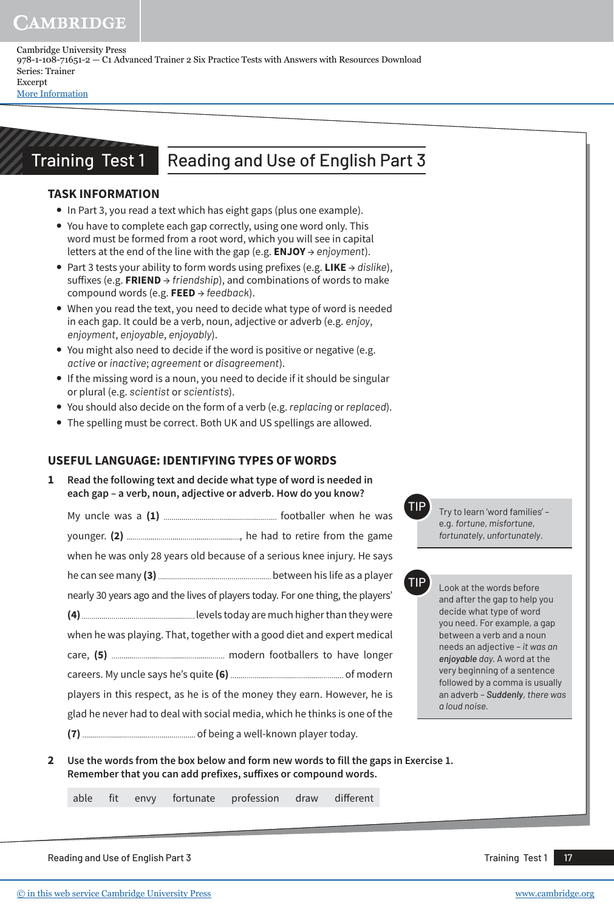Cambridge University Press 978-1-108-71651-2 — C1 Advanced Trainer 2 Six Practice Tests with Answers with Resources Download Series: Trainer Excerpt [More Information](www.cambridge.org/9781108716512)

# Training Test 1 Reading and Use of English Part 3

### **task information**

- In Part 3, you read a text which has eight gaps (plus one example).
- You have to complete each gap correctly, using one word only. This word must be formed from a root word, which you will see in capital letters at the end of the line with the gap (e.g. **enjoY** → *enjoyment*).
- y Part 3 tests your ability to form words using prefixes (e.g. **Like** → *dislike*), suffixes (e.g. **FRIEND** → *friendship*), and combinations of words to make compound words (e.g. **FEED** → *feedback*).
- When you read the text, you need to decide what type of word is needed in each gap. It could be a verb, noun, adjective or adverb (e.g. *enjoy*, *enjoyment*, *enjoyable*, *enjoyably*).
- You might also need to decide if the word is positive or negative (e.g. *active* or *inactive*; *agreement* or *disagreement*).
- If the missing word is a noun, you need to decide if it should be singular or plural (e.g. *scientist* or *scientists*).
- y You should also decide on the form of a verb (e.g. *replacing* or *replaced*).
- The spelling must be correct. Both UK and US spellings are allowed.

### **UsefUL LangUage: identifYing tYpes of words**

**1 Read the following text and decide what type of word is needed in each gap – a verb, noun, adjective or adverb. How do you know?** 

| when he was only 28 years old because of a serious knee injury. He says         |  |
|---------------------------------------------------------------------------------|--|
|                                                                                 |  |
| nearly 30 years ago and the lives of players today. For one thing, the players' |  |
|                                                                                 |  |
| when he was playing. That, together with a good diet and expert medical         |  |
|                                                                                 |  |
|                                                                                 |  |
| players in this respect, as he is of the money they earn. However, he is        |  |
| glad he never had to deal with social media, which he thinks is one of the      |  |
|                                                                                 |  |

Try to learn 'word families' e.g. *fortune*, *misfortune*, *fortunately*, *unfortunately*.

Look at the words before and after the gap to help you decide what type of word you need. For example, a gap between a verb and a noun needs an adjective – *it was an enjoyable day.* A word at the very beginning of a sentence followed by a comma is usually an adverb – *Suddenly, there was a loud noise.*

**2** Use the words from the box below and form new words to fill the gaps in Exercise 1. Remember that you can add prefixes, suffixes or compound words.

able fit envy fortunate profession draw different

Reading and Use of English Part 3 Training Test 1 2 Training Test 1 2 Training Test 1 2 Training Test 1 2 Training Test 1 2 Training Test 1 2 Training Test 1 2 Training Test 1 2 Training Test 1 2 Training Test 1 2 Training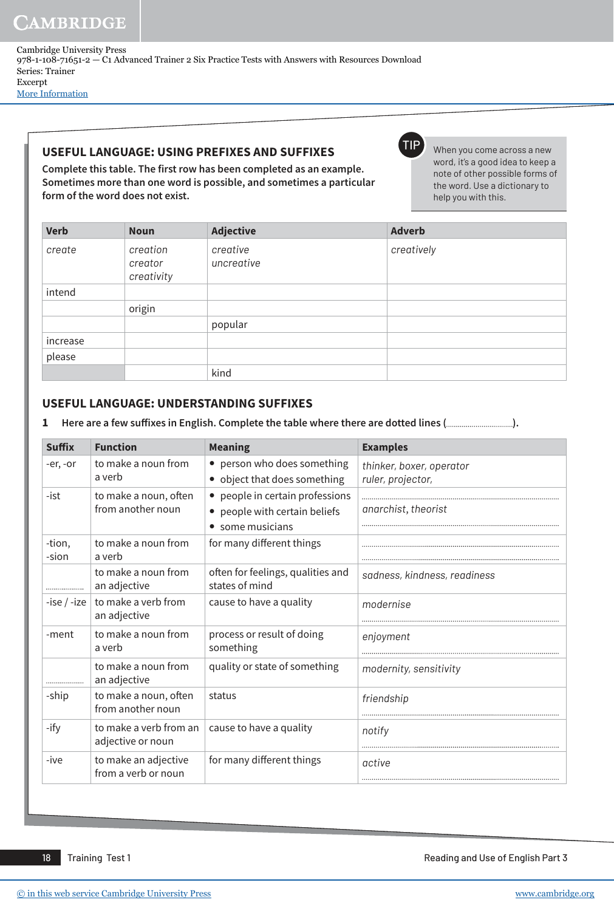Cambridge University Press 978-1-108-71651-2 — C1 Advanced Trainer 2 Six Practice Tests with Answers with Resources Download Series: Trainer Excerpt [More Information](www.cambridge.org/9781108716512)

### **UsefUL LangUage: Using prefixes and sUffixes**

**Complete this table. The first row has been completed as an example. Sometimes more than one word is possible, and sometimes a particular form of the word does not exist.** 

TIP When you come across a new word, it's a good idea to keep a note of other possible forms of the word. Use a dictionary to help you with this.

| <b>Verb</b> | <b>Noun</b>                       | <b>Adjective</b>       | <b>Adverb</b> |
|-------------|-----------------------------------|------------------------|---------------|
| create      | creation<br>creator<br>creativity | creative<br>uncreative | creatively    |
| intend      |                                   |                        |               |
|             | origin                            |                        |               |
|             |                                   | popular                |               |
| increase    |                                   |                        |               |
| please      |                                   |                        |               |
|             |                                   | kind                   |               |

### **UsefUL LangUage: Understanding sUffixes**

**1 Here are a few suffixes in english. Complete the table where there are dotted lines ( ).**

| <b>Suffix</b> | <b>Function</b>                             | <b>Meaning</b>                                      | <b>Examples</b>              |
|---------------|---------------------------------------------|-----------------------------------------------------|------------------------------|
| -er, -or      | to make a noun from                         | • person who does something                         | thinker, boxer, operator     |
|               | a verb                                      | object that does something<br>$\bullet$             | ruler, projector,            |
| -ist          | to make a noun, often                       | • people in certain professions                     |                              |
|               | from another noun                           | • people with certain beliefs                       | anarchist, theorist          |
|               |                                             | some musicians                                      |                              |
| -tion,        | to make a noun from                         | for many different things                           |                              |
| -sion         | a verb                                      |                                                     |                              |
|               | to make a noun from<br>an adjective         | often for feelings, qualities and<br>states of mind | sadness, kindness, readiness |
| $-ise / -ize$ | to make a verb from<br>an adjective         | cause to have a quality                             | modernise                    |
| -ment         | to make a noun from<br>a verb               | process or result of doing<br>something             | enjoyment                    |
|               | to make a noun from<br>an adjective         | quality or state of something                       | modernity, sensitivity       |
| -ship         | to make a noun, often<br>from another noun  | status                                              | friendship                   |
| -ify          | to make a verb from an<br>adjective or noun | cause to have a quality                             | notify                       |
| -ive          | to make an adjective<br>from a verb or noun | for many different things                           | active                       |

18 Training Test 1 Reading and Use of English Part 3